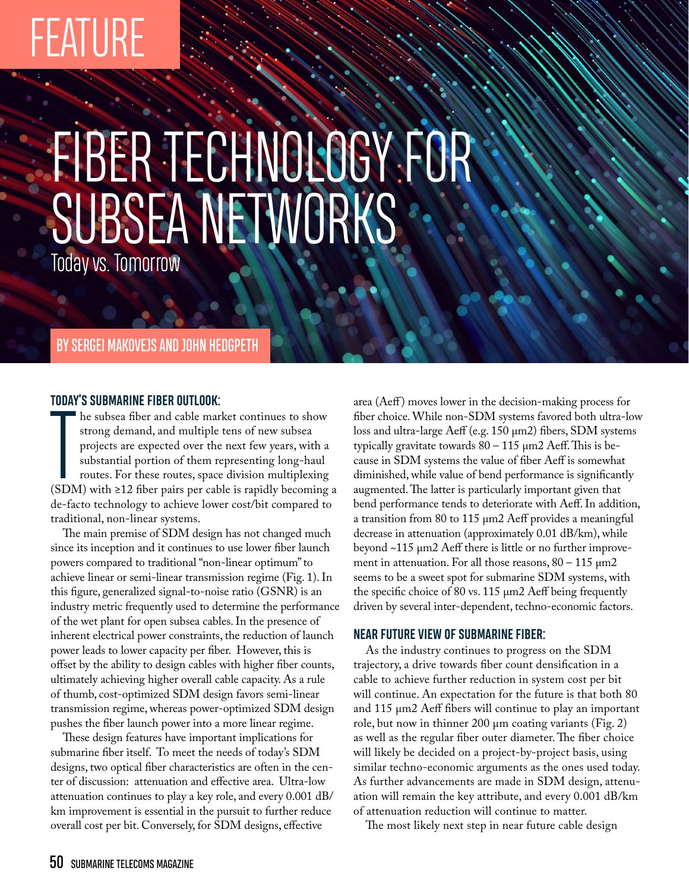# FEATURE

# FIBER TECHNOLOGY FOR **SUBSEA NETWORKS**

Today vs. Tomorrow

# BY SERGEI MAKOVEJS AND JOHN HEDGPETH

## **TODAY'S SUBMARINE FIBER OUTLOOK:**

The subsea moet and cable market continues to show<br>strong demand, and multiple tens of new subsea<br>projects are expected over the next few years, with a<br>substantial portion of them representing long-haul<br>routes. For these he subsea fiber and cable market continues to show strong demand, and multiple tens of new subsea projects are expected over the next few years, with a substantial portion of them representing long-haul routes. For these routes, space division multiplexing de-facto technology to achieve lower cost/bit compared to traditional, non-linear systems.

The main premise of SDM design has not changed much since its inception and it continues to use lower fiber launch powers compared to traditional "non-linear optimum" to achieve linear or semi-linear transmission regime (Fig. 1). In this figure, generalized signal-to-noise ratio (GSNR) is an industry metric frequently used to determine the performance of the wet plant for open subsea cables. In the presence of inherent electrical power constraints, the reduction of launch power leads to lower capacity per fiber. However, this is offset by the ability to design cables with higher fiber counts, ultimately achieving higher overall cable capacity. As a rule of thumb, cost-optimized SDM design favors semi-linear transmission regime, whereas power-optimized SDM design pushes the fiber launch power into a more linear regime.

These design features have important implications for submarine fiber itself. To meet the needs of today's SDM designs, two optical fiber characteristics are often in the center of discussion: attenuation and effective area. Ultra-low attenuation continues to play a key role, and every 0.001 dB/ km improvement is essential in the pursuit to further reduce overall cost per bit. Conversely, for SDM designs, effective

area (Aeff) moves lower in the decision-making process for fiber choice. While non-SDM systems favored both ultra-low loss and ultra-large Aeff (e.g. 150 µm2) fibers, SDM systems typically gravitate towards  $80 - 115 \ \mu m2$  Aeff. This is because in SDM systems the value of fiber Aeff is somewhat diminished, while value of bend performance is significantly augmented. The latter is particularly important given that bend performance tends to deteriorate with Aeff. In addition, a transition from 80 to 115 µm2 Aeff provides a meaningful decrease in attenuation (approximately 0.01 dB/km), while beyond ~115 µm2 Aeff there is little or no further improvement in attenuation. For all those reasons,  $80 - 115 \mu m2$ seems to be a sweet spot for submarine SDM systems, with the specific choice of 80 vs. 115 µm2 Aeff being frequently driven by several inter-dependent, techno-economic factors.

# **NEAR FUTURE VIEW OF SUBMARINE FIBER:**

As the industry continues to progress on the SDM trajectory, a drive towards fiber count densification in a cable to achieve further reduction in system cost per bit will continue. An expectation for the future is that both 80 and 115 µm2 Aeff fibers will continue to play an important role, but now in thinner 200 µm coating variants (Fig. 2) as well as the regular fiber outer diameter. The fiber choice will likely be decided on a project-by-project basis, using similar techno-economic arguments as the ones used today. As further advancements are made in SDM design, attenuation will remain the key attribute, and every 0.001 dB/km of attenuation reduction will continue to matter.

The most likely next step in near future cable design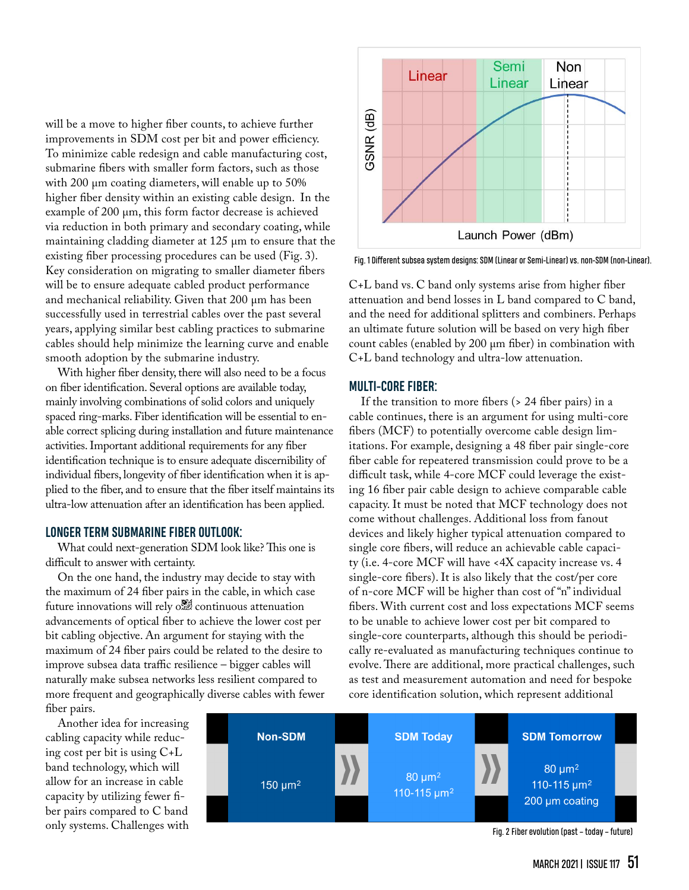will be a move to higher fiber counts, to achieve further improvements in SDM cost per bit and power efficiency. To minimize cable redesign and cable manufacturing cost, submarine fibers with smaller form factors, such as those with 200  $\mu$ m coating diameters, will enable up to 50% higher fiber density within an existing cable design. In the example of 200  $\mu$ m, this form factor decrease is achieved via reduction in both primary and secondary coating, while maintaining cladding diameter at 125 µm to ensure that the existing fiber processing procedures can be used (Fig. 3). Key consideration on migrating to smaller diameter fibers will be to ensure adequate cabled product performance and mechanical reliability. Given that 200 µm has been successfully used in terrestrial cables over the past several years, applying similar best cabling practices to submarine cables should help minimize the learning curve and enable smooth adoption by the submarine industry.

With higher fiber density, there will also need to be a focus on fiber identification. Several options are available today, mainly involving combinations of solid colors and uniquely spaced ring-marks. Fiber identification will be essential to enable correct splicing during installation and future maintenance activities. Important additional requirements for any fiber identification technique is to ensure adequate discernibility of individual fibers, longevity of fiber identification when it is applied to the fiber, and to ensure that the fiber itself maintains its ultra-low attenuation after an identification has been applied.

#### **LONGER TERM SUBMARINE FIBER OUTLOOK:**

What could next-generation SDM look like? This one is difficult to answer with certainty.

On the one hand, the industry may decide to stay with the maximum of 24 fiber pairs in the cable, in which case future innovations will rely one continuous attenuation advancements of optical fiber to achieve the lower cost per bit cabling objective. An argument for staying with the maximum of 24 fiber pairs could be related to the desire to improve subsea data traffic resilience – bigger cables will naturally make subsea networks less resilient compared to more frequent and geographically diverse cables with fewer fiber pairs.

Another idea for increasing cabling capacity while reducing cost per bit is using C+L band technology, which will allow for an increase in cable capacity by utilizing fewer fiber pairs compared to C band only systems. Challenges with





Fig. 1 Different subsea system designs: SDM (Linear or Semi-Linear) vs. non-SDM (non-Linear).

C+L band vs. C band only systems arise from higher fiber attenuation and bend losses in L band compared to C band, and the need for additional splitters and combiners. Perhaps an ultimate future solution will be based on very high fiber count cables (enabled by 200 µm fiber) in combination with C+L band technology and ultra-low attenuation.

#### **MULTI-CORE FIBER:**

If the transition to more fibers (> 24 fiber pairs) in a cable continues, there is an argument for using multi-core fibers (MCF) to potentially overcome cable design limitations. For example, designing a 48 fiber pair single-core fiber cable for repeatered transmission could prove to be a difficult task, while 4-core MCF could leverage the existing 16 fiber pair cable design to achieve comparable cable capacity. It must be noted that MCF technology does not come without challenges. Additional loss from fanout devices and likely higher typical attenuation compared to single core fibers, will reduce an achievable cable capacity (i.e. 4-core MCF will have <4X capacity increase vs. 4 single-core fibers). It is also likely that the cost/per core of n-core MCF will be higher than cost of "n" individual fibers. With current cost and loss expectations MCF seems to be unable to achieve lower cost per bit compared to single-core counterparts, although this should be periodically re-evaluated as manufacturing techniques continue to evolve. There are additional, more practical challenges, such as test and measurement automation and need for bespoke core identification solution, which represent additional